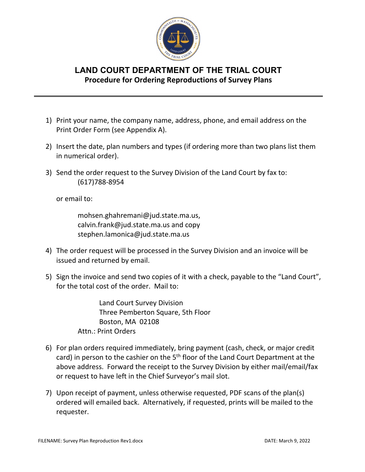

## **LAND COURT DEPARTMENT OF THE TRIAL COURT Procedure for Ordering Reproductions of Survey Plans**

- 1) Print your name, the company name, address, phone, and email address on the Print Order Form (see Appendix A).
- 2) Insert the date, plan numbers and types (if ordering more than two plans list them in numerical order).
- 3) Send the order request to the Survey Division of the Land Court by fax to: (617)788‐8954

or email to:

mohsen.ghahremani@jud.state.ma.us, calvin.frank@jud.state.ma.us and copy stephen.lamonica@jud.state.ma.us

- 4) The order request will be processed in the Survey Division and an invoice will be issued and returned by email.
- 5) Sign the invoice and send two copies of it with a check, payable to the "Land Court", for the total cost of the order. Mail to:

Land Court Survey Division Three Pemberton Square, 5th Floor Boston, MA 02108 Attn.: Print Orders

- 6) For plan orders required immediately, bring payment (cash, check, or major credit card) in person to the cashier on the  $5<sup>th</sup>$  floor of the Land Court Department at the above address. Forward the receipt to the Survey Division by either mail/email/fax or request to have left in the Chief Surveyor's mail slot.
- 7) Upon receipt of payment, unless otherwise requested, PDF scans of the plan(s) ordered will emailed back. Alternatively, if requested, prints will be mailed to the requester.